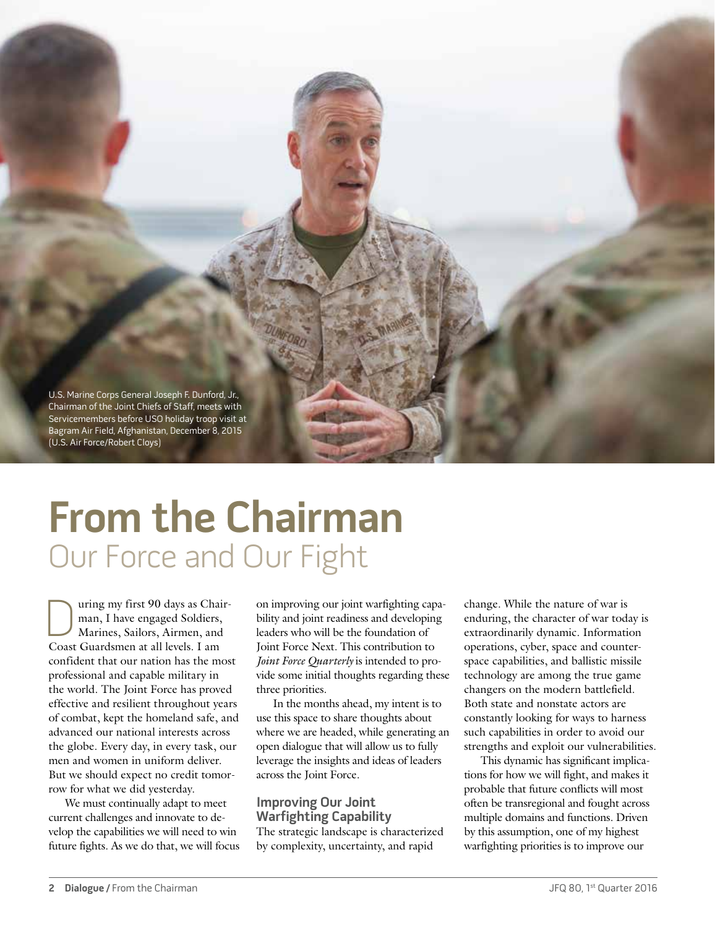

# **From the Chairman** Our Force and Our Fight

Ultiman, I have engaged Soldiers,<br>Marines, Sailors, Airmen, and<br>Coast Guardsmen at all levels I am man, I have engaged Soldiers, Marines, Sailors, Airmen, and Coast Guardsmen at all levels. I am confident that our nation has the most professional and capable military in the world. The Joint Force has proved effective and resilient throughout years of combat, kept the homeland safe, and advanced our national interests across the globe. Every day, in every task, our men and women in uniform deliver. But we should expect no credit tomorrow for what we did yesterday.

We must continually adapt to meet current challenges and innovate to develop the capabilities we will need to win future fights. As we do that, we will focus

on improving our joint warfighting capability and joint readiness and developing leaders who will be the foundation of Joint Force Next. This contribution to *Joint Force Quarterly* is intended to provide some initial thoughts regarding these three priorities.

In the months ahead, my intent is to use this space to share thoughts about where we are headed, while generating an open dialogue that will allow us to fully leverage the insights and ideas of leaders across the Joint Force.

### **Improving Our Joint Warfighting Capability**

The strategic landscape is characterized by complexity, uncertainty, and rapid

change. While the nature of war is enduring, the character of war today is extraordinarily dynamic. Information operations, cyber, space and counterspace capabilities, and ballistic missile technology are among the true game changers on the modern battlefield. Both state and nonstate actors are constantly looking for ways to harness such capabilities in order to avoid our strengths and exploit our vulnerabilities.

This dynamic has significant implications for how we will fight, and makes it probable that future conflicts will most often be transregional and fought across multiple domains and functions. Driven by this assumption, one of my highest warfighting priorities is to improve our